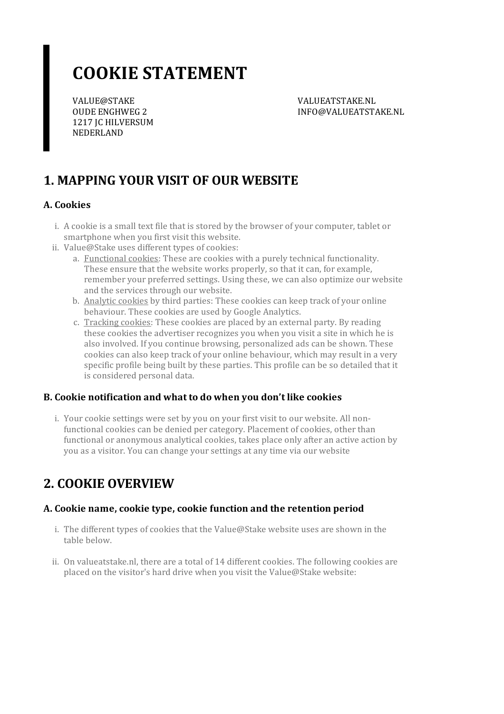# **COOKIE STATEMENT**

VALUE@STAKE OUDE ENGHWEG 2 1217 JC HILVERSUM NEDERLAND

VALUEATSTAKE.NL INFO@VALUEATSTAKE.NL

# **1. MAPPING YOUR VISIT OF OUR WEBSITE**

### **A. Cookies**

- i. A cookie is a small text file that is stored by the browser of your computer, tablet or smartphone when you first visit this website.
- ii. Value@Stake uses different types of cookies:
	- a. Functional cookies: These are cookies with a purely technical functionality. These ensure that the website works properly, so that it can, for example, remember your preferred settings. Using these, we can also optimize our website and the services through our website.
	- b. Analytic cookies by third parties: These cookies can keep track of your online behaviour. These cookies are used by Google Analytics.
	- c. Tracking cookies: These cookies are placed by an external party. By reading these cookies the advertiser recognizes you when you visit a site in which he is also involved. If you continue browsing, personalized ads can be shown. These cookies can also keep track of your online behaviour, which may result in a very specific profile being built by these parties. This profile can be so detailed that it is considered personal data.

#### **B. Cookie notification and what to do when you don't like cookies**

i. Your cookie settings were set by you on your first visit to our website. All nonfunctional cookies can be denied per category. Placement of cookies, other than functional or anonymous analytical cookies, takes place only after an active action by you as a visitor. You can change your settings at any time via our website

## **2. COOKIE OVERVIEW**

### **A. Cookie name,cookie type,cookie function and the retention period**

- i. The different types of cookies that the Value@Stake website uses are shown in the table below.
- ii. On valueatstake.nl, there are a total of 14 different cookies. The following cookies are placed on the visitor's hard drive when you visit the Value@Stake website: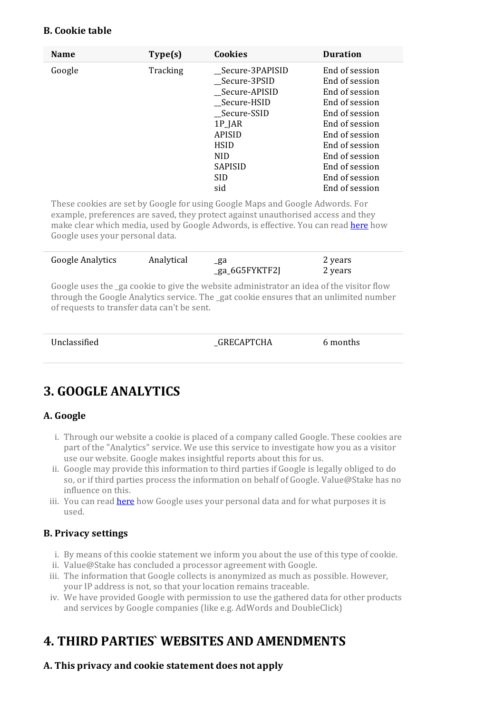#### **B. Cookie table**

| <b>Name</b> | Type(s)  | <b>Cookies</b>   | <b>Duration</b> |
|-------------|----------|------------------|-----------------|
| Google      | Tracking | _Secure-3PAPISID | End of session  |
|             |          | Secure-3PSID     | End of session  |
|             |          | _Secure-APISID   | End of session  |
|             |          | __Secure-HSID    | End of session  |
|             |          | Secure-SSID      | End of session  |
|             |          | 1P_JAR           | End of session  |
|             |          | <b>APISID</b>    | End of session  |
|             |          | <b>HSID</b>      | End of session  |
|             |          | <b>NID</b>       | End of session  |
|             |          | <b>SAPISID</b>   | End of session  |
|             |          | <b>SID</b>       | End of session  |
|             |          | sid              | End of session  |

These cookies are set by Google for using Google Maps and Google Adwords. For example, preferences are saved, they protect against unauthorised access and they make clear which media, used by Google Adwords, is effective. You can read [here](https://policies.google.com/technologies/partner-sites?hl=en) how Google uses your personal data.

| Google Analytics | Analytical |                | 2 years |  |
|------------------|------------|----------------|---------|--|
|                  |            | _ga_6G5FYKTF2J | 2 years |  |

Google uses the ga cookie to give the website administrator an idea of the visitor flow through the Google Analytics service. The \_gat cookie ensures that an unlimited number ofrequests to transfer data can't be sent.

| Unclassified | GRECAPTCHA | 6 months |
|--------------|------------|----------|
|              |            |          |

# **3. GOOGLE ANALYTICS**

### **A. Google**

- i. Through our website a cookie is placed of a company called Google. These cookies are part of the "Analytics" service. We use this service to investigate how you as a visitor use our website. Google makes insightful reports about this for us.
- ii. Google may provide this information to third parties if Google is legally obliged to do so, or if third parties process the information on behalf of Google. Value@Stake has no influence on this.
- iii. You can read [here](https://policies.google.com/technologies/partner-sites?hl=en) how Google uses your personal data and for what purposes it is used.

#### **B. Privacy settings**

- i. By means of this cookie statement we inform you about the use of this type ofcookie.
- ii. Value@Stake has concluded a processor agreement with Google.
- iii. The information that Google collects is anonymized as much as possible. However, your IP address is not, so that your location remains traceable.
- iv. We have provided Google with permission to use the gathered data for other products and services by Google companies (like e.g. AdWords and DoubleClick)

# **4. THIRD PARTIES` WEBSITES AND AMENDMENTS**

#### **A. This privacy and cookie statement does not apply**